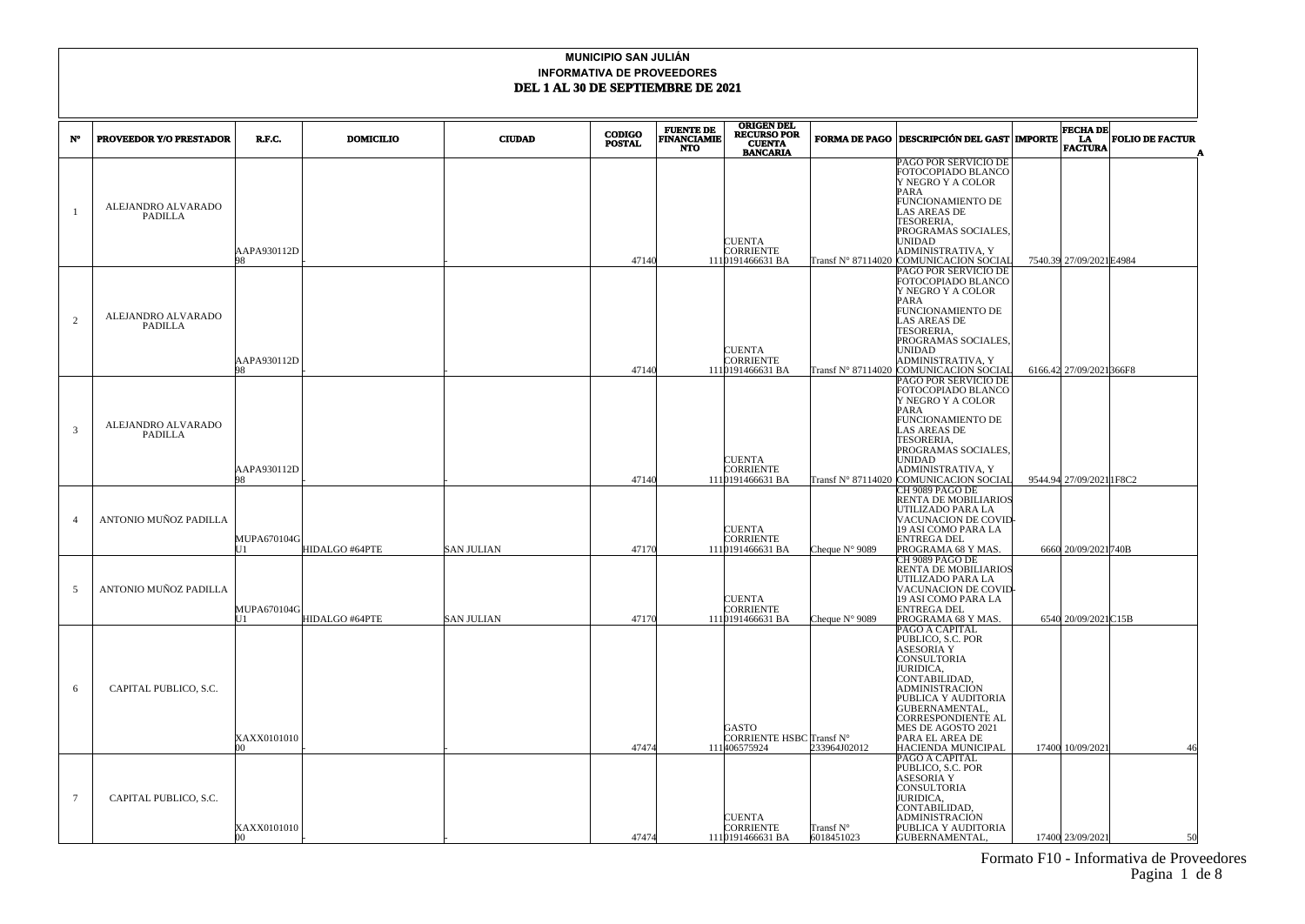| N°             | <b>PROVEEDOR Y/O PRESTADOR</b>       | R.F.C.             | <b>DOMICILIO</b> | <b>CIUDAD</b>     | <b>CODIGO</b><br><b>POSTAL</b> | <b>FUENTE DE</b><br><b>FINANCIAMIE</b><br><b>NTO</b> | <b>ORIGEN DEL</b><br><b>RECURSO POR</b><br><b>CUENTA</b><br><b>BANCARIA</b> | <b>FORMA DE PAGO</b>    | <b>DESCRIPCIÓN DEL GAST MPORTE</b>                                                                                                                                                                                                                           | <b>FECHADE</b><br>LA<br>FACTURA | <b>FOLIO DE FACTUR</b> |    |
|----------------|--------------------------------------|--------------------|------------------|-------------------|--------------------------------|------------------------------------------------------|-----------------------------------------------------------------------------|-------------------------|--------------------------------------------------------------------------------------------------------------------------------------------------------------------------------------------------------------------------------------------------------------|---------------------------------|------------------------|----|
|                | ALEJANDRO ALVARADO<br><b>PADILLA</b> | AAPA930112D        |                  |                   | 47140                          |                                                      | <b>CUENTA</b><br><b>CORRIENTE</b><br>1110191466631 BA                       | Transf N° 87114020      | PAGO POR SERVICIO DE<br>FOTOCOPIADO BLANCO<br>Y NEGRO Y A COLOR<br>PARA<br><b>FUNCIONAMIENTO DE</b><br>LAS AREAS DE<br>TESORERIA,<br>PROGRAMAS SOCIALES,<br>UNIDAD<br>ADMINISTRATIVA, Y<br><b>COMUNICACION SOCIAL</b>                                        | 7540.39 27/09/2021 E4984        |                        |    |
| $\overline{2}$ | ALEJANDRO ALVARADO<br><b>PADILLA</b> | AAPA930112D<br>98  |                  |                   | 47140                          |                                                      | <b>CUENTA</b><br>CORRIENTE<br>1110191466631 BA                              | Transf N° 87114020      | PAGO POR SERVICIO DE<br>FOTOCOPIADO BLANCO<br>Y NEGRO Y A COLOR<br>PARA<br>FUNCIONAMIENTO DE<br>LAS AREAS DE<br>TESORERIA,<br>PROGRAMAS SOCIALES<br>UNIDAD<br>ADMINISTRATIVA, Y<br><b>COMUNICACION SOCIAL</b>                                                | 6166.42 27/09/2021366F8         |                        |    |
| 3              | ALEJANDRO ALVARADO<br><b>PADILLA</b> | AAPA930112D        |                  |                   | 47140                          |                                                      | <b>CUENTA</b><br>CORRIENTE<br>1110191466631 BA                              | Transf N° 87114020      | PAGO POR SERVICIO DE<br>FOTOCOPIADO BLANCO<br>Y NEGRO Y A COLOR<br>PARA<br>FUNCIONAMIENTO DE<br><b>LAS AREAS DE</b><br>TESORERIA,<br>PROGRAMAS SOCIALES,<br>UNIDAD<br>ADMINISTRATIVA, Y<br>COMUNICACION SOCIAL                                               | 9544.94 27/09/2021 IF8C2        |                        |    |
|                | ANTONIO MUÑOZ PADILLA                | MUPA670104G<br>U1. | HIDALGO #64PTE   | <b>SAN JULIAN</b> | 47170                          |                                                      | <b>CUENTA</b><br><b>CORRIENTE</b><br>1110191466631 BA                       | Cheque N° 9089          | CH 9089 PAGO DE<br><b>RENTA DE MOBILIARIOS</b><br>UTILIZADO PARA LA<br>VACUNACION DE COVID-<br>19 ASI COMO PARA LA<br><b>ENTREGA DEL</b><br>PROGRAMA 68 Y MAS.                                                                                               | 6660 20/09/2021740B             |                        |    |
| 5              | ANTONIO MUÑOZ PADILLA                | MUPA670104G        | HIDALGO #64PTE   | <b>SAN JULIAN</b> | 47170                          |                                                      | <b>CUENTA</b><br>CORRIENTE<br>1110191466631 BA                              | Cheque $N^{\circ}$ 9089 | CH 9089 PAGO DE<br>RENTA DE MOBILIARIOS<br>UTILIZADO PARA LA<br><b>VACUNACION DE COVID-</b><br>19 ASI COMO PARA LA<br><b>ENTREGA DEL</b><br>PROGRAMA 68 Y MAS.                                                                                               | 6540 20/09/2021 C15B            |                        |    |
| 6              | CAPITAL PUBLICO, S.C.                | XAXX0101010        |                  |                   | 47474                          |                                                      | <b>GASTO</b><br>CORRIENTE HSBC Transf N°<br>111406575924                    | 233964J02012            | PAGO A CAPITAL<br>PUBLICO, S.C. POR<br><b>ASESORIA Y</b><br>CONSULTORIA<br>JURIDICA.<br>CONTABILIDAD.<br><b>ADMINISTRACION</b><br>PUBLICA Y AUDITORIA<br>GUBERNAMENTAL.<br>CORRESPONDIENTE AL<br>MES DE AGOSTO 2021<br>PARA EL AREA DE<br>HACIENDA MUNICIPAL | 17400 10/09/2021                |                        | 46 |
| 7              | CAPITAL PUBLICO, S.C.                | XAXX0101010<br>m   |                  |                   | 47474                          |                                                      | <b>CUENTA</b><br>CORRIENTE<br>1110191466631 BA                              | Transf N°<br>6018451023 | PAGO A CAPITAL<br>PUBLICO, S.C. POR<br><b>ASESORIA Y</b><br>CONSULTORIA<br>JURIDICA,<br>CONTABILIDAD,<br>ADMINISTRACION<br>PUBLICA Y AUDITORIA<br>GUBERNAMENTAL,                                                                                             | 17400 23/09/2021                |                        | 50 |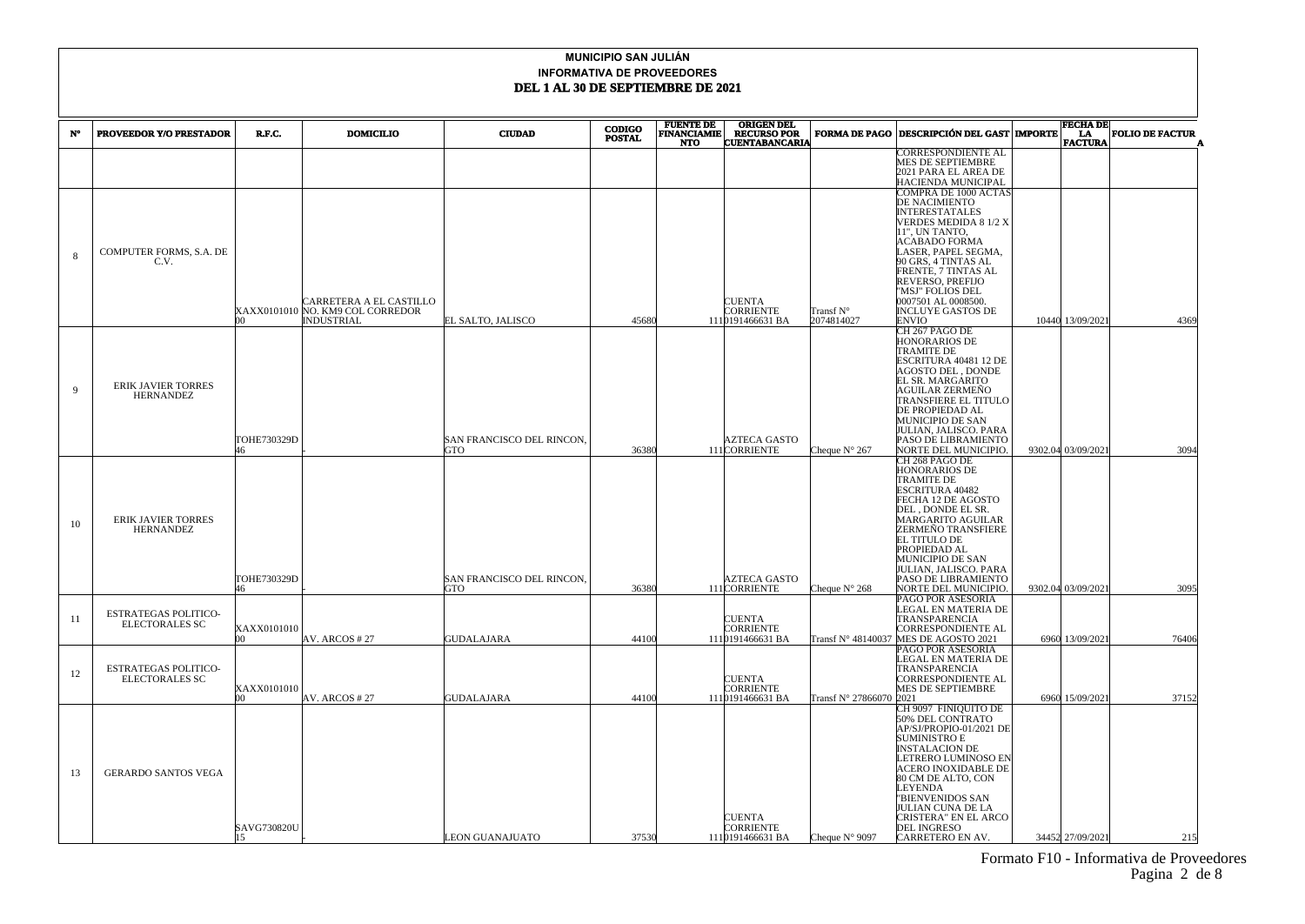|     |                                                      |                         |                                                                                  |                                         | <b>CODIGO</b> | <b>FUENTE DE</b>                   | <b>ORIGEN DEL</b>                                     |                         |                                                                                                                                                                                                                                                                                                        | <b>FECHA DE</b>    |                        |
|-----|------------------------------------------------------|-------------------------|----------------------------------------------------------------------------------|-----------------------------------------|---------------|------------------------------------|-------------------------------------------------------|-------------------------|--------------------------------------------------------------------------------------------------------------------------------------------------------------------------------------------------------------------------------------------------------------------------------------------------------|--------------------|------------------------|
| N°  | <b>PROVEEDOR Y/O PRESTADOR</b>                       | R.F.C.                  | <b>DOMICILIO</b>                                                                 | <b>CIUDAD</b>                           | <b>POSTAL</b> | <b>FINANCIAMIE  </b><br><b>NTO</b> | RECURSO POR<br>CUENTABANCARIA                         | <b>FORMA DE PAGO</b>    | <b>DESCRIPCIÓN DEL GAST   IMPORTE</b>                                                                                                                                                                                                                                                                  | LA<br>FACTURA      | <b>FOLIO DE FACTUR</b> |
|     |                                                      |                         |                                                                                  |                                         |               |                                    |                                                       |                         | CORRESPONDIENTE AL<br>MES DE SEPTIEMBRE<br>2021 PARA EL AREA DE<br>HACIENDA MUNICIPAL                                                                                                                                                                                                                  |                    |                        |
| 8   | COMPUTER FORMS, S.A. DE<br>C.V.                      |                         | CARRETERA A EL CASTILLO<br>XAXX0101010 NO. KM9 COL CORREDOR<br><b>INDUSTRIAL</b> | EL SALTO, JALISCO                       | 45680         |                                    | <b>CUENTA</b><br>CORRIENTE<br>1110191466631 BA        | Transf N°<br>2074814027 | COMPRA DE 1000 ACTAS<br>DE NACIMIENTO<br><b>INTERESTATALES</b><br>VERDES MEDIDA 8 1/2 X<br>11", UN TANTO,<br>ACABADO FORMA<br>ASER, PAPEL SEGMA,<br>90 GRS, 4 TINTAS AL<br>FRENTE, 7 TINTAS AL<br>REVERSO, PREFIJO<br>'MSJ" FOLIOS DEL<br>0007501 AL 0008500.<br><b>INCLUYE GASTOS DE</b><br>ENVIO     | 10440 13/09/2021   | 4369                   |
| -9  | <b>ERIK JAVIER TORRES</b><br><b>HERNANDEZ</b>        | TOHE730329D<br>46       |                                                                                  | SAN FRANCISCO DEL RINCON.<br>GTO        | 36380         |                                    | AZTECA GASTO<br>111CORRIENTE                          | Cheque $N^{\circ}$ 267  | CH 267 PAGO DE<br>HONORARIOS DE<br>TRAMITE DE<br>ESCRITURA 40481 12 DE<br><b>AGOSTO DEL, DONDE</b><br>EL SR. MARGARITO<br>AGUILAR ZERMEÑO<br>TRANSFIERE EL TITULO<br>DE PROPIEDAD AL<br>MUNICIPIO DE SAN<br>JULIAN, JALISCO. PARA<br>PASO DE LIBRAMIENTO<br>NORTE DEL MUNICIPIO.                       | 9302.04 03/09/2021 | 3094                   |
| 10  | <b>ERIK JAVIER TORRES</b><br><b>HERNANDEZ</b>        | TOHE730329D<br>46       |                                                                                  | SAN FRANCISCO DEL RINCON.<br><b>GTO</b> | 36380         |                                    | <b>AZTECA GASTO</b><br>111CORRIENTE                   | Cheque $N^{\circ}$ 268  | CH 268 PAGO DE<br>HONORARIOS DE<br><b>TRAMITE DE</b><br><b>ESCRITURA 40482</b><br>FECHA 12 DE AGOSTO<br>DEL, DONDE EL SR.<br>MARGARITO AGUILAR<br>ZERMEÑO TRANSFIERE<br>EL TITULO DE<br>PROPIEDAD AL<br>MUNICIPIO DE SAN<br>JULIAN, JALISCO. PARA<br>PASO DE LIBRAMIENTO<br><b>NORTE DEL MUNICIPIO</b> | 9302.04 03/09/2021 | 3095                   |
| -11 | <b>ESTRATEGAS POLITICO-</b><br><b>ELECTORALES SC</b> | XAXX0101010<br>m        | AV. ARCOS #27                                                                    | GUDALAJARA                              | 44100         |                                    | <b>CUENTA</b><br>CORRIENTE<br>1110191466631 BA        | Transf N° 48140037      | <b>PAGO POR ASESORIA</b><br>LEGAL EN MATERIA DE<br>TRANSPARENCIA<br>CORRESPONDIENTE AL<br>MES DE AGOSTO 2021                                                                                                                                                                                           | 6960 13/09/2021    | 76406                  |
| 12  | <b>ESTRATEGAS POLITICO-</b><br>ELECTORALES SC        | XAXX0101010<br>$\omega$ | AV. ARCOS #27                                                                    | <b>GUDALAJARA</b>                       | 44100         |                                    | <b>CUENTA</b><br><b>CORRIENTE</b><br>1110191466631 BA | Transf N° 27866070      | PAGO POR ASESORIA<br><b>EGAL EN MATERIA DE</b><br>TRANSPARENCIA<br>CORRESPONDIENTE AL<br>MES DE SEPTIEMBRE<br>2021                                                                                                                                                                                     | 6960 15/09/2021    | 37152                  |
| 13  | <b>GERARDO SANTOS VEGA</b>                           | SAVG730820U<br>15       |                                                                                  | <b>LEON GUANAJUATO</b>                  | 37530         |                                    | <b>CUENTA</b><br>CORRIENTE<br>1110191466631 BA        | Cheque N° 9097          | CH 9097 FINIQUITO DE<br>50% DEL CONTRATO<br>AP/SJ/PROPIO-01/2021 DE<br>SUMINISTRO E<br><b>INSTALACION DE</b><br>ETRERO LUMINOSO EN<br>ACERO INOXIDABLE DE<br>80 CM DE ALTO, CON<br>LEYENDA<br>'BIENVENIDOS SAN<br>JULIAN CUNA DE LA<br>CRISTERA" EN EL ARCO<br>DEL INGRESO<br>CARRETERO EN AV          | 34452 27/09/2021   | 215                    |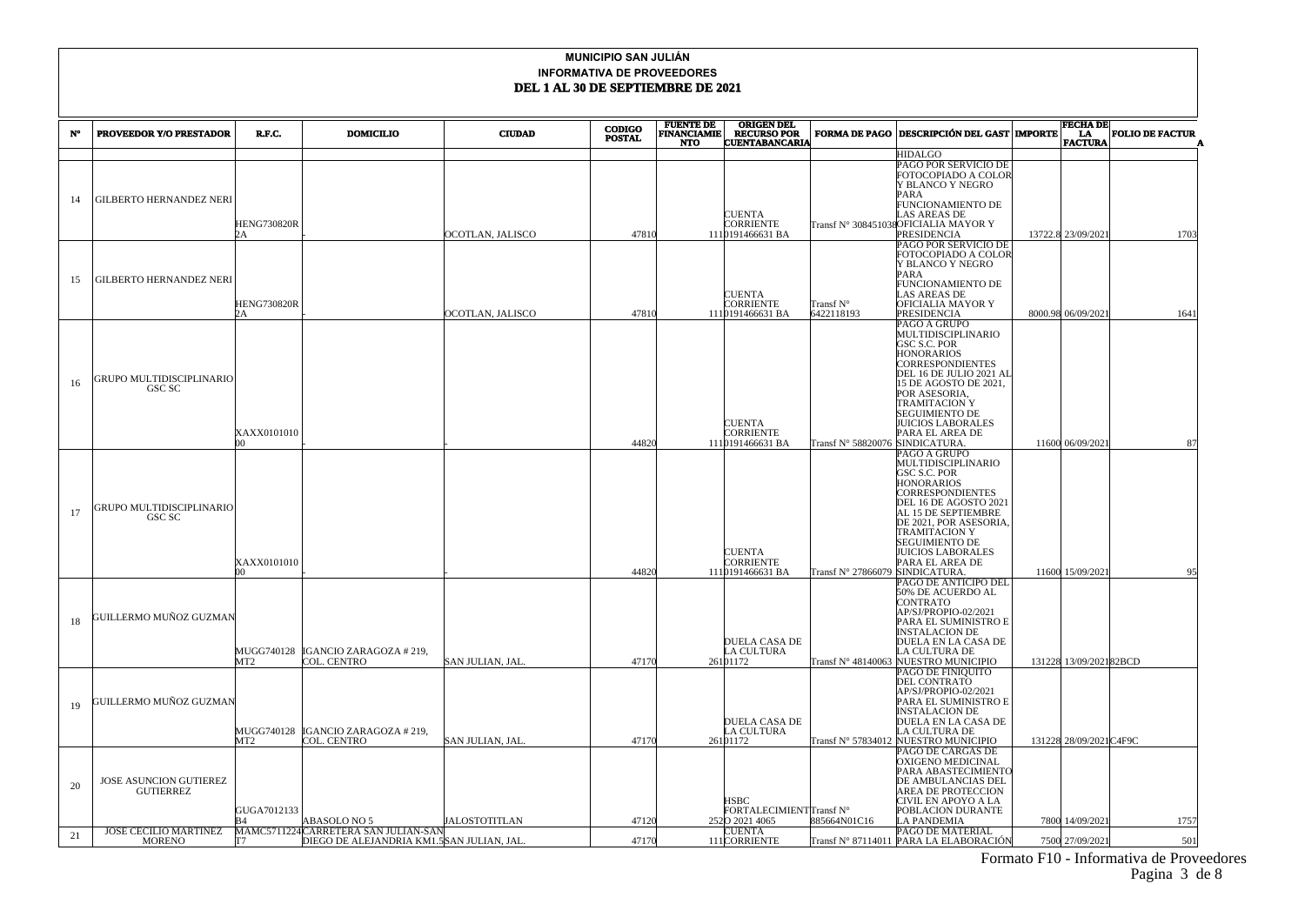|    |                                               |                    |                                                                                   |                     | <b>CODIGO</b> | <b>FUENTE DE</b>          | <b>ORIGEN DEL</b>                     |                                 |                                                            |                    | <b>FECHA DE</b>         |                        |
|----|-----------------------------------------------|--------------------|-----------------------------------------------------------------------------------|---------------------|---------------|---------------------------|---------------------------------------|---------------------------------|------------------------------------------------------------|--------------------|-------------------------|------------------------|
| N° | <b>PROVEEDOR Y/O PRESTADOR</b>                | R.F.C.             | <b>DOMICILIO</b>                                                                  | <b>CIUDAD</b>       | <b>POSTAL</b> | <b>FINANCIAMIE</b><br>NTO | <b>RECURSO POR<br/>CUENTABANCARIA</b> | <b>FORMA DE PAGO</b>            | <b>DESCRIPCIÓN DEL GAST MPORTE</b>                         |                    | LA<br>FACTURA           | <b>FOLIO DE FACTUR</b> |
|    |                                               |                    |                                                                                   |                     |               |                           |                                       |                                 | HIDALGO                                                    |                    |                         |                        |
|    |                                               |                    |                                                                                   |                     |               |                           |                                       |                                 | PAGO POR SERVICIO DE                                       |                    |                         |                        |
|    |                                               |                    |                                                                                   |                     |               |                           |                                       |                                 | FOTOCOPIADO A COLOR                                        |                    |                         |                        |
|    |                                               |                    |                                                                                   |                     |               |                           |                                       |                                 | Y BLANCO Y NEGRO                                           |                    |                         |                        |
| 14 | <b>GILBERTO HERNANDEZ NERI</b>                |                    |                                                                                   |                     |               |                           |                                       |                                 | PARA                                                       |                    |                         |                        |
|    |                                               |                    |                                                                                   |                     |               |                           |                                       |                                 | FUNCIONAMIENTO DE                                          |                    |                         |                        |
|    |                                               | <b>HENG730820R</b> |                                                                                   |                     |               |                           | <b>CUENTA</b><br>CORRIENTE            |                                 | LAS AREAS DE<br>8OFICIALIA MAYOR Y                         |                    |                         |                        |
|    |                                               |                    |                                                                                   | OCOTLAN, JALISCO    | 47810         |                           | 1110191466631 BA                      | Transf N° 30845103              | PRESIDENCIA                                                | 13722.8 23/09/2021 |                         | 1703                   |
|    |                                               |                    |                                                                                   |                     |               |                           |                                       |                                 | PAGO POR SERVICIO DE                                       |                    |                         |                        |
|    |                                               |                    |                                                                                   |                     |               |                           |                                       |                                 | FOTOCOPIADO A COLOR                                        |                    |                         |                        |
|    |                                               |                    |                                                                                   |                     |               |                           |                                       |                                 | Y BLANCO Y NEGRO                                           |                    |                         |                        |
| 15 | <b>GILBERTO HERNANDEZ NERI</b>                |                    |                                                                                   |                     |               |                           |                                       |                                 | PARA                                                       |                    |                         |                        |
|    |                                               |                    |                                                                                   |                     |               |                           | <b>CUENTA</b>                         |                                 | FUNCIONAMIENTO DE<br>LAS AREAS DE                          |                    |                         |                        |
|    |                                               | <b>HENG730820R</b> |                                                                                   |                     |               |                           | CORRIENTE                             | Transf N°                       | OFICIALIA MAYOR Y                                          |                    |                         |                        |
|    |                                               | DА                 |                                                                                   | OCOTLAN, JALISCO    | 47810         |                           | 1110191466631 BA                      | 6422118193                      | PRESIDENCIA                                                | 8000.98 06/09/2021 |                         | 1641                   |
|    |                                               |                    |                                                                                   |                     |               |                           |                                       |                                 | PAGO A GRUPO                                               |                    |                         |                        |
|    |                                               |                    |                                                                                   |                     |               |                           |                                       |                                 | MULTIDISCIPLINARIO                                         |                    |                         |                        |
|    |                                               |                    |                                                                                   |                     |               |                           |                                       |                                 | GSC S.C. POR                                               |                    |                         |                        |
|    |                                               |                    |                                                                                   |                     |               |                           |                                       |                                 | <b>HONORARIOS</b><br><b>CORRESPONDIENTES</b>               |                    |                         |                        |
|    |                                               |                    |                                                                                   |                     |               |                           |                                       |                                 | DEL 16 DE JULIO 2021 AL                                    |                    |                         |                        |
| 16 | <b>GRUPO MULTIDISCIPLINARIO</b><br>GSC SC     |                    |                                                                                   |                     |               |                           |                                       |                                 | 15 DE AGOSTO DE 2021,                                      |                    |                         |                        |
|    |                                               |                    |                                                                                   |                     |               |                           |                                       |                                 | POR ASESORIA,                                              |                    |                         |                        |
|    |                                               |                    |                                                                                   |                     |               |                           |                                       |                                 | <b>TRAMITACION Y</b>                                       |                    |                         |                        |
|    |                                               |                    |                                                                                   |                     |               |                           |                                       |                                 | <b>SEGUIMIENTO DE</b>                                      |                    |                         |                        |
|    |                                               | XAXX0101010        |                                                                                   |                     |               |                           | <b>CUENTA</b><br>CORRIENTE            |                                 | <b>JUICIOS LABORALES</b><br>PARA EL AREA DE                |                    |                         |                        |
|    |                                               | ൜                  |                                                                                   |                     | 44820         |                           | 1110191466631 BA                      | Transf N° 58820076 SINDICATURA. |                                                            | 11600 06/09/2021   |                         | 87                     |
|    |                                               |                    |                                                                                   |                     |               |                           |                                       |                                 | PAGO A GRUPO                                               |                    |                         |                        |
|    |                                               |                    |                                                                                   |                     |               |                           |                                       |                                 | MULTIDISCIPLINARIO                                         |                    |                         |                        |
|    |                                               |                    |                                                                                   |                     |               |                           |                                       |                                 | GSC S.C. POR                                               |                    |                         |                        |
|    |                                               |                    |                                                                                   |                     |               |                           |                                       |                                 | <b>HONORARIOS</b>                                          |                    |                         |                        |
|    |                                               |                    |                                                                                   |                     |               |                           |                                       |                                 | <b>CORRESPONDIENTES</b><br>DEL 16 DE AGOSTO 2021           |                    |                         |                        |
| 17 | <b>GRUPO MULTIDISCIPLINARIO</b>               |                    |                                                                                   |                     |               |                           |                                       |                                 | AL 15 DE SEPTIEMBRE                                        |                    |                         |                        |
|    | GSC SC                                        |                    |                                                                                   |                     |               |                           |                                       |                                 | DE 2021, POR ASESORIA                                      |                    |                         |                        |
|    |                                               |                    |                                                                                   |                     |               |                           |                                       |                                 | <b>TRAMITACION Y</b>                                       |                    |                         |                        |
|    |                                               |                    |                                                                                   |                     |               |                           |                                       |                                 | <b>SEGUIMIENTO DE</b>                                      |                    |                         |                        |
|    |                                               |                    |                                                                                   |                     |               |                           | CUENTA                                |                                 | <b>JUICIOS LABORALES</b>                                   |                    |                         |                        |
|    |                                               | XAXX0101010        |                                                                                   |                     | 44820         |                           | <b>CORRIENTE</b><br>1110191466631 BA  | Transf N° 27866079 SINDICATURA. | PARA EL AREA DE                                            | 11600 15/09/2021   |                         | 95                     |
|    |                                               |                    |                                                                                   |                     |               |                           |                                       |                                 | PAGO DE ANTICIPO DEL                                       |                    |                         |                        |
|    |                                               |                    |                                                                                   |                     |               |                           |                                       |                                 | 50% DE ACUERDO AL                                          |                    |                         |                        |
|    |                                               |                    |                                                                                   |                     |               |                           |                                       |                                 | CONTRATO                                                   |                    |                         |                        |
|    | GUILLERMO MUÑOZ GUZMAN                        |                    |                                                                                   |                     |               |                           |                                       |                                 | AP/SJ/PROPIO-02/2021                                       |                    |                         |                        |
| 18 |                                               |                    |                                                                                   |                     |               |                           |                                       |                                 | PARA EL SUMINISTRO E                                       |                    |                         |                        |
|    |                                               |                    |                                                                                   |                     |               |                           | <b>DUELA CASA DE</b>                  |                                 | <b>INSTALACION DE</b><br><b>DUELA EN LA CASA DE</b>        |                    |                         |                        |
|    |                                               |                    | MUGG740128 IGANCIO ZARAGOZA #219,                                                 |                     |               |                           | LA CULTURA                            |                                 | LA CULTURA DE                                              |                    |                         |                        |
|    |                                               | MT <sub>2</sub>    | COL. CENTRO                                                                       | SAN JULIAN, JAL.    | 47170         |                           | 26101172                              | Transf N° 48140063              | NUESTRO MUNICIPIO                                          |                    | 131228 13/09/202182BCD  |                        |
|    |                                               |                    |                                                                                   |                     |               |                           |                                       |                                 | PAGO DE FINIQUITO                                          |                    |                         |                        |
|    |                                               |                    |                                                                                   |                     |               |                           |                                       |                                 | DEL CONTRATO                                               |                    |                         |                        |
|    | GUILLERMO MUÑOZ GUZMAN                        |                    |                                                                                   |                     |               |                           |                                       |                                 | AP/SJ/PROPIO-02/2021<br>PARA EL SUMINISTRO E               |                    |                         |                        |
| 19 |                                               |                    |                                                                                   |                     |               |                           |                                       |                                 | <b>INSTALACION DE</b>                                      |                    |                         |                        |
|    |                                               |                    |                                                                                   |                     |               |                           | <b>DUELA CASA DE</b>                  |                                 | DUELA EN LA CASA DE                                        |                    |                         |                        |
|    |                                               | MUGG740128         | IGANCIO ZARAGOZA # 219,                                                           |                     |               |                           | A CULTURA                             |                                 | A CULTURA DE                                               |                    |                         |                        |
|    |                                               | MT <sub>2</sub>    | COL. CENTRO                                                                       | SAN JULIAN, JAL     | 47170         |                           | 26101172                              | Transf N° 57834012              | NUESTRO MUNICIPIO                                          |                    | 131228 28/09/2021 C4F9C |                        |
|    |                                               |                    |                                                                                   |                     |               |                           |                                       |                                 | PAGO DE CARGAS DE                                          |                    |                         |                        |
|    |                                               |                    |                                                                                   |                     |               |                           |                                       |                                 | OXIGENO MEDICINAL<br>PARA ABASTECIMIENTO                   |                    |                         |                        |
|    | JOSE ASUNCION GUTIEREZ                        |                    |                                                                                   |                     |               |                           |                                       |                                 | DE AMBULANCIAS DEL                                         |                    |                         |                        |
| 20 | <b>GUTIERREZ</b>                              |                    |                                                                                   |                     |               |                           |                                       |                                 | <b>AREA DE PROTECCION</b>                                  |                    |                         |                        |
|    |                                               |                    |                                                                                   |                     |               |                           | HSBC                                  |                                 | CIVIL EN APOYO A LA                                        |                    |                         |                        |
|    |                                               | GUGA7012133        |                                                                                   |                     |               |                           | FORTALECIMIENTTransf N°               |                                 | POBLACION DURANTE                                          |                    |                         |                        |
|    |                                               |                    | ABASOLO NO 5                                                                      | <b>ALOSTOTITLAN</b> | 47120         |                           | 2520 2021 4065                        | 885664N01C16                    | <b>A PANDEMIA</b>                                          | 7800 14/09/2021    |                         | 1757                   |
| 21 | <b>JOSE CECILIO MARTINEZ</b><br><b>MORENO</b> | IT7                | MAMC5711224 CARRETERA SAN JULIAN-SAN<br>DIEGO DE ALEJANDRIA KM1.5SAN JULIAN, JAL. |                     | 47170         |                           | CUENTA<br>111CORRIENTE                |                                 | PAGO DE MATERIAL<br>Transf N° 87114011 PARA LA ELABORACIÓN | 7500 27/09/2021    |                         | 501                    |
|    |                                               |                    |                                                                                   |                     |               |                           |                                       |                                 |                                                            |                    |                         |                        |

 Formato F10 - Informativa de Proveedores Pagina 3 de 8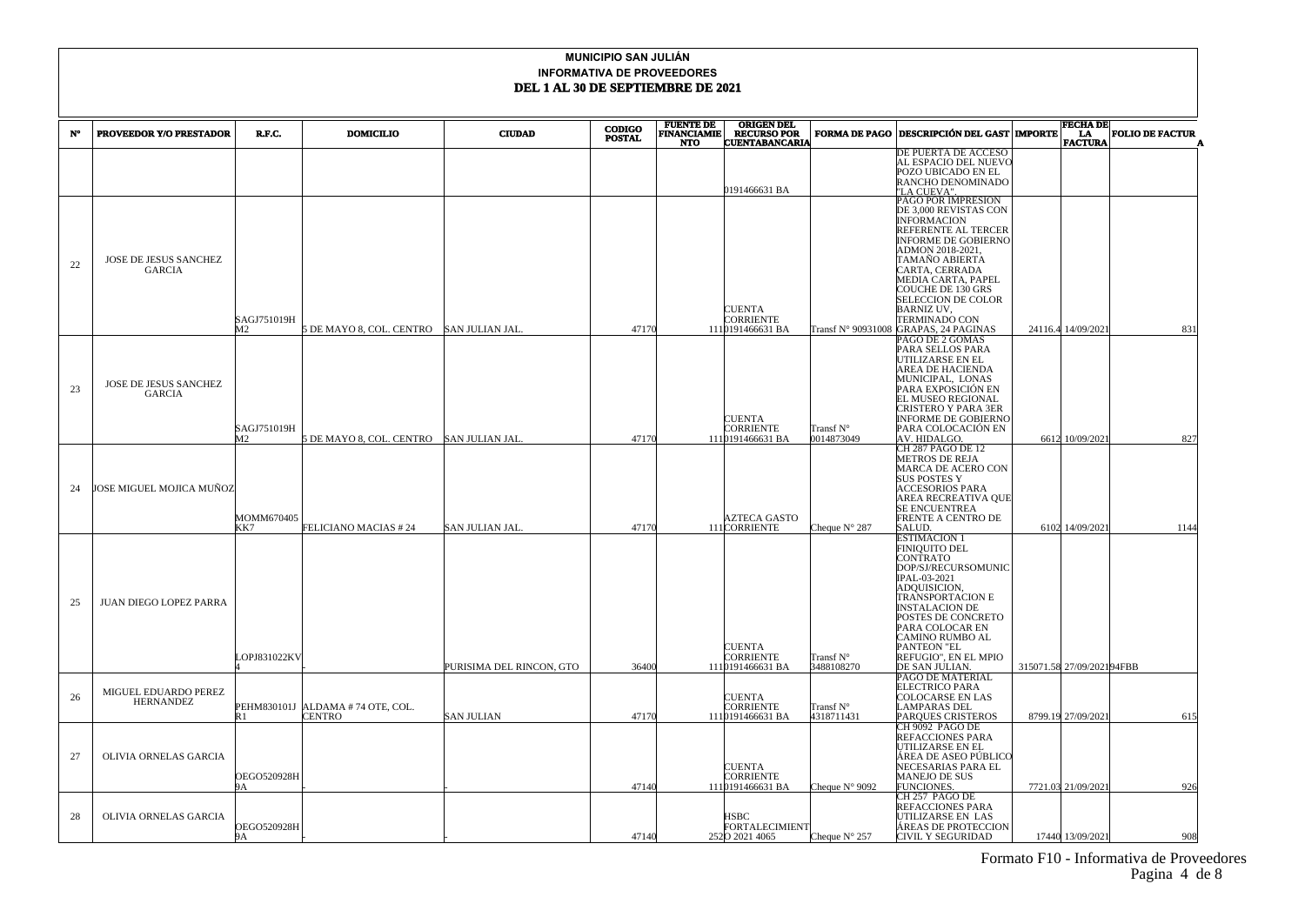|    |                                               |                          |                                              |                          | <b>CODIGO</b> | <b>FUENTE DE</b>                 | <b>ORIGEN DEL</b>                                     |                                          |                                                                                                                                                                                                                                                                                                                                                          | <b>FECHA DE</b>           |                        |
|----|-----------------------------------------------|--------------------------|----------------------------------------------|--------------------------|---------------|----------------------------------|-------------------------------------------------------|------------------------------------------|----------------------------------------------------------------------------------------------------------------------------------------------------------------------------------------------------------------------------------------------------------------------------------------------------------------------------------------------------------|---------------------------|------------------------|
| N° | PROVEEDOR Y/O PRESTADOR                       | R.F.C.                   | <b>DOMICILIO</b>                             | <b>CIUDAD</b>            | <b>POSTAL</b> | <b>FINANCIAMIE</b><br><b>NTO</b> | <b>RECURSO POR</b><br><b>CUENTABANCARIA</b>           |                                          | FORMA DE PAGO DESCRIPCIÓN DEL GAST MPORTE                                                                                                                                                                                                                                                                                                                | LA<br><b>FACTURA</b>      | <b>FOLIO DE FACTUR</b> |
|    |                                               |                          |                                              |                          |               |                                  | 0191466631 BA                                         |                                          | DE PUERTA DE ACCESO<br>AL ESPACIO DEL NUEVO<br>POZO UBICADO EN EL<br>RANCHO DENOMINADO<br>"LA CUEVA".                                                                                                                                                                                                                                                    |                           |                        |
| 22 | JOSE DE JESUS SANCHEZ<br><b>GARCIA</b>        | SAGJ751019H<br>M2        |                                              |                          | 47170         |                                  | <b>CUENTA</b><br><b>CORRIENTE</b><br>1110191466631 BA |                                          | PAGO POR IMPRESION<br>DE 3,000 REVISTAS CON<br><b>INFORMACION</b><br>REFERENTE AL TERCER<br><b>INFORME DE GOBIERNO</b><br>ADMON 2018-2021,<br>TAMAÑO ABIERTA<br>CARTA, CERRADA<br>MEDIA CARTA, PAPEL<br>COUCHE DE 130 GRS<br>SELECCION DE COLOR<br><b>BARNIZ UV,</b><br><b>TERMINADO CON</b><br>Transf N° 90931008 GRAPAS, 24 PAGINAS<br>PAGO DE 2 GOMAS | 24116.4 14/09/202         | 831                    |
| 23 | <b>JOSE DE JESUS SANCHEZ</b><br><b>GARCIA</b> | SAGJ751019H<br>M2        | 5 DE MAYO 8, COL. CENTRO SAN JULIAN JAL.     |                          | 47170         |                                  | <b>CUENTA</b><br>CORRIENTE<br>1110191466631 BA        | $\Gamma$ ransf $N^{\circ}$<br>0014873049 | PARA SELLOS PARA<br>UTILIZARSE EN EL<br>AREA DE HACIENDA<br>MUNICIPAL, LONAS<br>PARA EXPOSICIÓN EN<br>EL MUSEO REGIONAL<br>CRISTERO Y PARA 3ER<br><b>INFORME DE GOBIERNO</b><br>PARA COLOCACIÓN EN<br>AV. HIDALGO.                                                                                                                                       | 6612 10/09/2021           | 827                    |
| 24 | JOSE MIGUEL MOJICA MUÑOZ                      | MOMM670405<br>KK7        | <b>FELICIANO MACIAS #24</b>                  | SAN JULIAN JAL           | 47170         |                                  | <b>AZTECA GASTO</b><br>111CORRIENTE                   | Cheque $N^{\circ}$ 287                   | CH 287 PAGO DE 12<br>METROS DE REJA<br>MARCA DE ACERO CON<br><b>SUS POSTES Y</b><br><b>ACCESORIOS PARA</b><br>AREA RECREATIVA QUE<br><b>SE ENCUENTREA</b><br><b>FRENTE A CENTRO DE</b><br>SALUD.                                                                                                                                                         | 6102 14/09/202            | 1144                   |
| 25 | <b>JUAN DIEGO LOPEZ PARRA</b>                 | LOPJ831022KV             |                                              | PURISIMA DEL RINCON, GTO | 36400         |                                  | <b>CUENTA</b><br>CORRIENTE<br>1110191466631 BA        | Transf N°<br>3488108270                  | ESTIMACION 1<br><b>FINIQUITO DEL</b><br>CONTRATO<br>DOP/SJ/RECURSOMUNIC<br>IPAL-03-2021<br>ADQUISICION,<br>TRANSPORTACION E<br>INSTALACION DE<br>POSTES DE CONCRETO<br>PARA COLOCAR EN<br>CAMINO RUMBO AL<br><b>PANTEON "EL</b><br>REFUGIO", EN EL MPIO<br>DE SAN JULIAN.                                                                                | 315071.58 27/09/202194FBB |                        |
| 26 | MIGUEL EDUARDO PEREZ<br><b>HERNANDEZ</b>      | R 1                      | PEHM830101J  ALDAMA # 74 OTE, COL.<br>CENTRO | <b>SAN JULIAN</b>        | 47170         |                                  | <b>CUENTA</b><br>CORRIENTE<br>1110191466631 BA        | Transf N°<br>4318711431                  | PAGO DE MATERIAL<br>ELECTRICO PARA<br>COLOCARSE EN LAS<br>LAMPARAS DEL<br>PARQUES CRISTEROS                                                                                                                                                                                                                                                              | 8799.19 27/09/2021        | 615                    |
| 27 | OLIVIA ORNELAS GARCIA                         | <b>OEGO520928H</b><br>9А |                                              |                          | 47140         |                                  | <b>CUENTA</b><br><b>CORRIENTE</b><br>1110191466631 BA | Cheque N° 9092                           | CH 9092 PAGO DE<br>REFACCIONES PARA<br>UTILIZARSE EN EL<br>ÁREA DE ASEO PÚBLICO<br>NECESARIAS PARA EL<br>MANEJO DE SUS<br>FUNCIONES.                                                                                                                                                                                                                     | 7721.03 21/09/2021        | 926                    |
| 28 | OLIVIA ORNELAS GARCIA                         | <b>OEGO520928H</b><br>9А |                                              |                          | 47140         |                                  | HSBC<br>FORTALECIMIENT<br>2520 2021 4065              | Cheque $N^{\circ}$ 257                   | CH 257 PAGO DE<br>REFACCIONES PARA<br>UTILIZARSE EN LAS<br>ÁREAS DE PROTECCION<br>CIVIL Y SEGURIDAD                                                                                                                                                                                                                                                      | 17440 13/09/2021          | 908                    |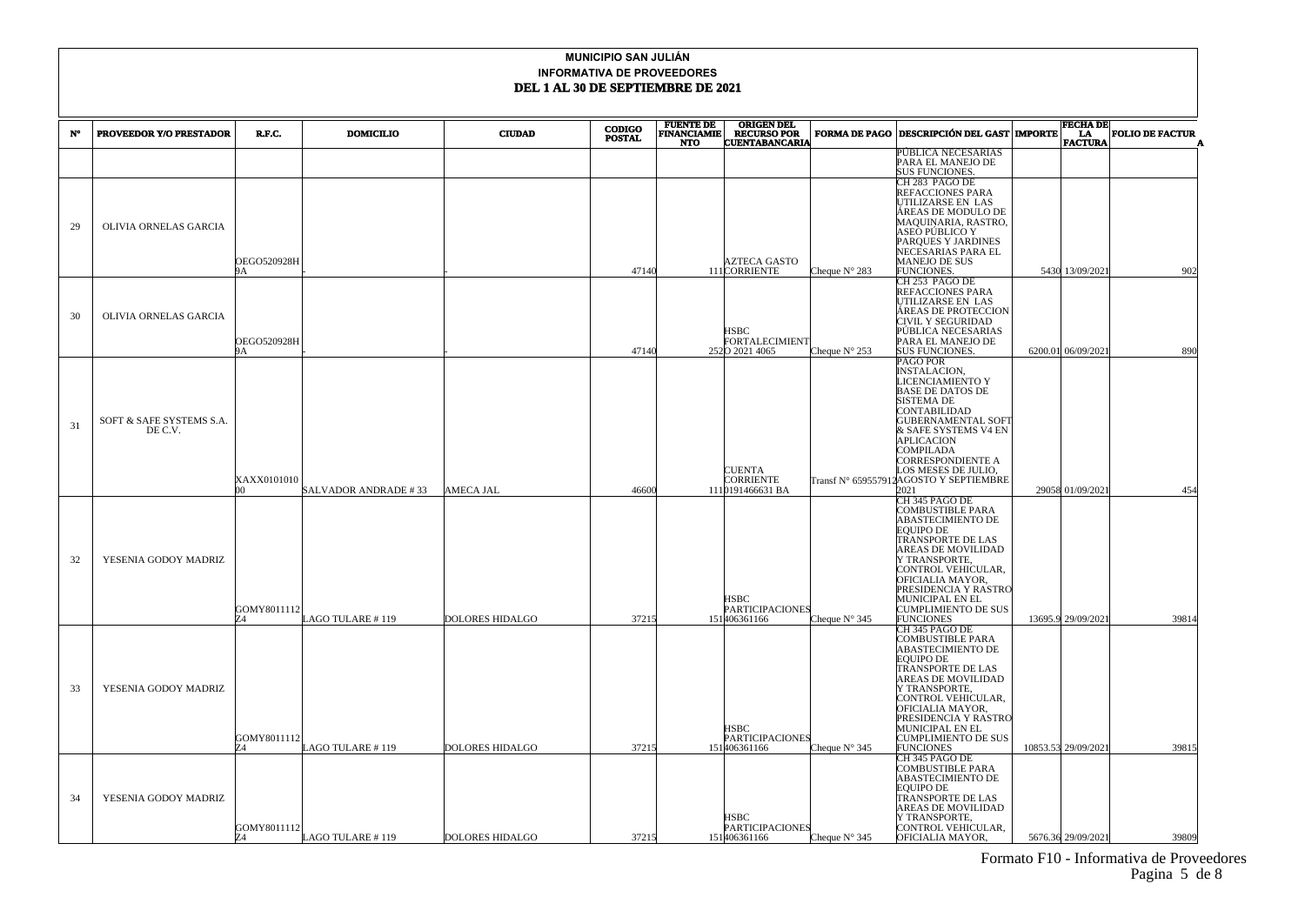|             |                                     |                          |                      |                        | <b>CODIGO</b> | <b>FUENTE DE</b>                 | <b>ORIGEN DEL</b>                                     |                        |                                                                                                                                                                                                                                                                                | <b>FECHA DE</b>      |                        |
|-------------|-------------------------------------|--------------------------|----------------------|------------------------|---------------|----------------------------------|-------------------------------------------------------|------------------------|--------------------------------------------------------------------------------------------------------------------------------------------------------------------------------------------------------------------------------------------------------------------------------|----------------------|------------------------|
| $N^{\circ}$ | PROVEEDOR Y/O PRESTADOR             | R.F.C.                   | <b>DOMICILIO</b>     | <b>CIUDAD</b>          | <b>POSTAL</b> | <b>FINANCIAMIE</b><br><b>NTO</b> | <b>RECURSO POR</b><br><b>CUENTABANCARIA</b>           | <b>FORMA DE PAGO</b>   | <b>DESCRIPCIÓN DEL GAST   IMPORTE</b>                                                                                                                                                                                                                                          | LA<br><b>FACTURA</b> | <b>FOLIO DE FACTUR</b> |
|             |                                     |                          |                      |                        |               |                                  |                                                       |                        | PUBLICA NECESARIAS<br>PARA EL MANEJO DE<br>SUS FUNCIONES.                                                                                                                                                                                                                      |                      |                        |
| 29          | OLIVIA ORNELAS GARCIA               | <b>OEGO520928H</b><br>9A |                      |                        | 47140         |                                  | <b>AZTECA GASTO</b><br>111CORRIENTE                   | Cheque N° 283          | CH 283 PAGO DE<br>REFACCIONES PARA<br>JTILIZARSE EN LAS<br>ÁREAS DE MODULO DE<br>MAQUINARIA, RASTRO.<br>ASEO PÚBLICO Y<br>PARQUES Y JARDINES<br>NECESARIAS PARA EL<br>MANEJO DE SUS<br>FUNCIONES.                                                                              | 5430 13/09/2021      | 902                    |
| 30          | OLIVIA ORNELAS GARCIA               | <b>OEGO520928H</b><br>ЭA |                      |                        | 47140         |                                  | <b>HSBC</b><br>FORTALECIMIENT<br>2520 2021 4065       | Cheque $N^{\circ}$ 253 | CH 253 PAGO DE<br>REFACCIONES PARA<br>JTILIZARSE EN LAS<br>ÁREAS DE PROTECCION<br>CIVIL Y SEGURIDAD<br>PÚBLICA NECESARIAS<br>PARA EL MANEJO DE<br>SUS FUNCIONES.                                                                                                               | 6200.01 06/09/2021   | 890                    |
| 31          | SOFT & SAFE SYSTEMS S.A.<br>DE C.V. | XAXX0101010<br>m         | SALVADOR ANDRADE #33 | <b>AMECA JAL</b>       | 46600         |                                  | <b>CUENTA</b><br>CORRIENTE<br>1110191466631 BA        | Fransf N° 65955791     | PAGO POR<br>NSTALACION,<br><b>LICENCIAMIENTO Y</b><br>BASE DE DATOS DE<br>SISTEMA DE<br>CONTABILIDAD<br><b>GUBERNAMENTAL SOF</b><br>& SAFE SYSTEMS V4 EN<br><b>APLICACION</b><br>COMPILADA<br>CORRESPONDIENTE A<br>LOS MESES DE JULIO,<br><b>AGOSTO Y SEPTIEMBRE</b><br>2021   | 29058 01/09/2021     | 454                    |
| 32          | YESENIA GODOY MADRIZ                | GOMY8011112<br>74        | AGO TULARE #119      | <b>DOLORES HIDALGO</b> | 37215         |                                  | <b>HSBC</b><br><b>PARTICIPACIONES</b><br>151406361166 | Cheque $N^{\circ}$ 345 | CH 345 PAGO DE<br>COMBUSTIBLE PARA<br><b>ABASTECIMIENTO DE</b><br>EOUIPO DE<br>TRANSPORTE DE LAS<br>AREAS DE MOVILIDAD<br>Y TRANSPORTE.<br>CONTROL VEHICULAR,<br>OFICIALIA MAYOR,<br>PRESIDENCIA Y RASTRO<br>MUNICIPAL EN EL<br><b>CUMPLIMIENTO DE SUS</b><br><b>FUNCIONES</b> | 13695.9 29/09/2021   | 39814                  |
| 33          | YESENIA GODOY MADRIZ                | GOMY8011112              | AGO TULARE #119      | <b>DOLORES HIDALGO</b> | 37215         |                                  | <b>HSBC</b><br><b>PARTICIPACIONES</b><br>151406361166 | Cheque $N^{\circ}$ 345 | CH 345 PAGO DE<br>COMBUSTIBLE PARA<br><b>ABASTECIMIENTO DE</b><br>EOUIPO DE<br>TRANSPORTE DE LAS<br>AREAS DE MOVILIDAD<br>Y TRANSPORTE,<br>CONTROL VEHICULAR,<br>OFICIALIA MAYOR,<br>PRESIDENCIA Y RASTRO<br>MUNICIPAL EN EL<br><b>CUMPLIMIENTO DE SUS</b><br><b>FUNCIONES</b> | 10853.53 29/09/2021  | 39815                  |
| 34          | YESENIA GODOY MADRIZ                | GOMY8011112<br>174       | AGO TULARE #119      | <b>DOLORES HIDALGO</b> | 37215         |                                  | <b>HSBC</b><br><b>PARTICIPACIONES</b><br>151406361166 | Cheque N° 345          | CH 345 PAGO DE<br>COMBUSTIBLE PARA<br><b>ABASTECIMIENTO DE</b><br>EQUIPO DE<br>TRANSPORTE DE LAS<br>AREAS DE MOVILIDAD<br>Y TRANSPORTE,<br>CONTROL VEHICULAR,<br>OFICIALIA MAYOR.                                                                                              | 5676.36 29/09/2021   | 39809                  |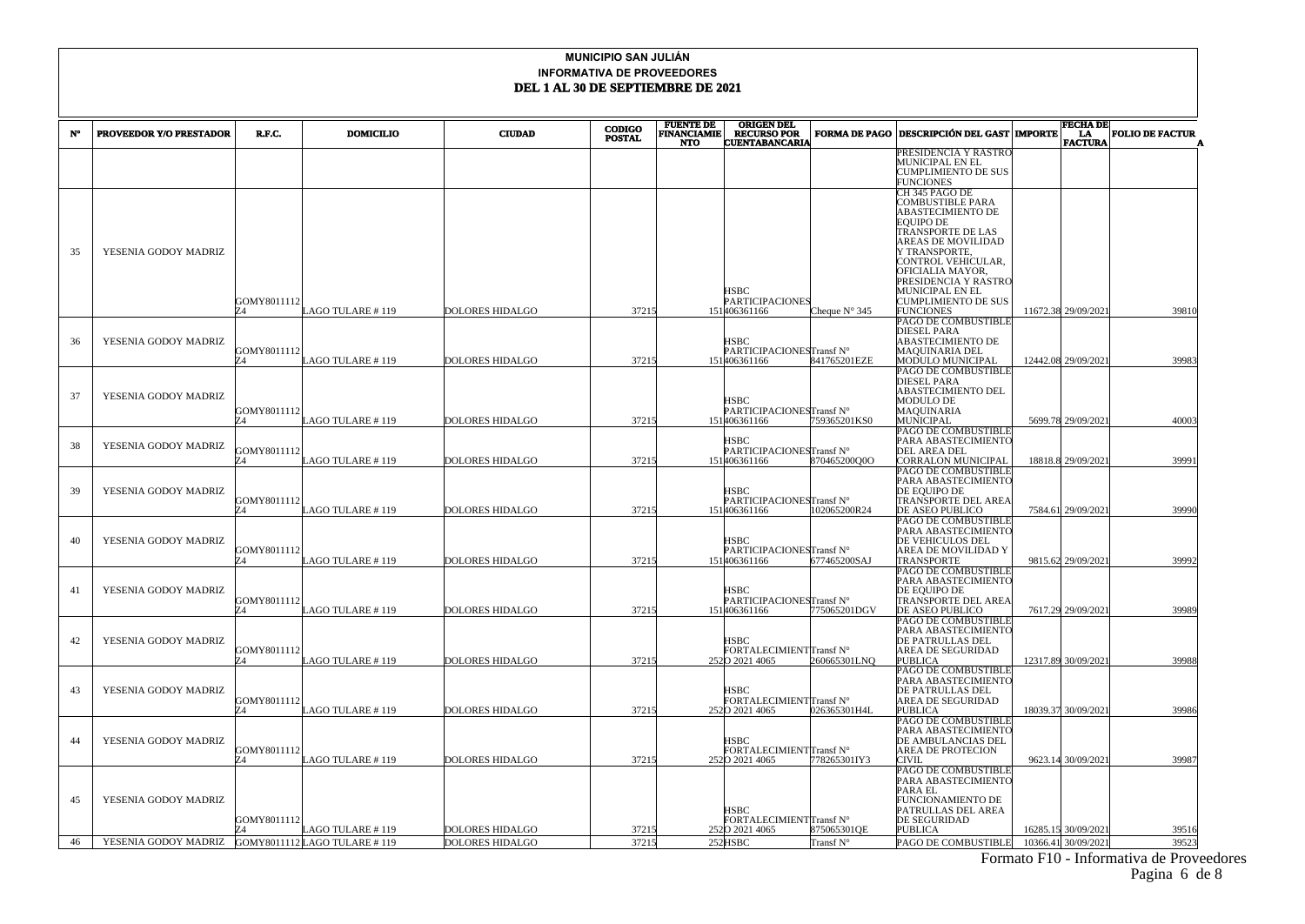|    |                                                   |                   |                        |                                                  | <b>CODIGO</b>  | <b>FUENTE DE</b>                 | <b>ORIGEN DEL</b>                           |                          |                                                      | <b>FECHADE</b>                             |                        |
|----|---------------------------------------------------|-------------------|------------------------|--------------------------------------------------|----------------|----------------------------------|---------------------------------------------|--------------------------|------------------------------------------------------|--------------------------------------------|------------------------|
| N° | <b>PROVEEDOR Y/O PRESTADOR</b>                    | R.F.C.            | <b>DOMICILIO</b>       | <b>CIUDAD</b>                                    | <b>POSTAL</b>  | <b>FINANCIAMIE</b><br><b>NTO</b> | <b>RECURSO POR</b><br><b>CUENTABANCARIA</b> |                          | <b>FORMA DE PAGO DESCRIPCIÓN DEL GAST MPORTE</b>     | LA<br><b>FACTURA</b>                       | <b>FOLIO DE FACTUR</b> |
|    |                                                   |                   |                        |                                                  |                |                                  |                                             |                          | PRESIDENCIA Y RASTRC                                 |                                            |                        |
|    |                                                   |                   |                        |                                                  |                |                                  |                                             |                          | <b>MUNICIPAL EN EL</b><br><b>CUMPLIMIENTO DE SUS</b> |                                            |                        |
|    |                                                   |                   |                        |                                                  |                |                                  |                                             |                          | <b>FUNCIONES</b>                                     |                                            |                        |
|    |                                                   |                   |                        |                                                  |                |                                  |                                             |                          | CH 345 PAGO DE                                       |                                            |                        |
|    |                                                   |                   |                        |                                                  |                |                                  |                                             |                          | COMBUSTIBLE PARA                                     |                                            |                        |
|    |                                                   |                   |                        |                                                  |                |                                  |                                             |                          | ABASTECIMIENTO DE<br>EOUIPO DE                       |                                            |                        |
|    |                                                   |                   |                        |                                                  |                |                                  |                                             |                          | ITRANSPORTE DE LAS                                   |                                            |                        |
|    |                                                   |                   |                        |                                                  |                |                                  |                                             |                          | AREAS DE MOVILIDAD                                   |                                            |                        |
| 35 | YESENIA GODOY MADRIZ                              |                   |                        |                                                  |                |                                  |                                             |                          | Y TRANSPORTE,<br>CONTROL VEHICULAR,                  |                                            |                        |
|    |                                                   |                   |                        |                                                  |                |                                  |                                             |                          | OFICIALIA MAYOR,                                     |                                            |                        |
|    |                                                   |                   |                        |                                                  |                |                                  | HSBC                                        |                          | PRESIDENCIA Y RASTRO<br>MUNICIPAL EN EL              |                                            |                        |
|    |                                                   | GOMY8011112       |                        |                                                  |                |                                  | PARTICIPACIONES                             |                          | <b>CUMPLIMIENTO DE SUS</b>                           |                                            |                        |
|    |                                                   |                   | LAGO TULARE # 119      | <b>DOLORES HIDALGO</b>                           | 37215          |                                  | 151406361166                                | Cheque $N^{\circ}$ 345   | <b>FUNCIONES</b>                                     | 11672.38 29/09/2021                        | 39810                  |
|    |                                                   |                   |                        |                                                  |                |                                  |                                             |                          | PAGO DE COMBUSTIBLE<br>DIESEL PARA                   |                                            |                        |
| 36 | YESENIA GODOY MADRIZ                              |                   |                        |                                                  |                |                                  | HSBC                                        |                          | ABASTECIMIENTO DE                                    |                                            |                        |
|    |                                                   | GOMY8011112       |                        |                                                  |                |                                  | PARTICIPACIONESTransf N°                    |                          | <b>MAQUINARIA DEL</b>                                |                                            |                        |
|    |                                                   | 74                | <b>AGO TULARE #119</b> | <b>DOLORES HIDALGO</b>                           | 37215          |                                  | 151406361166                                | 841765201EZE             | <b>MODULO MUNICIPAL</b><br>PAGO DE COMBUSTIBLE       | 12442.08 29/09/2021                        | 39983                  |
|    |                                                   |                   |                        |                                                  |                |                                  |                                             |                          | DIESEL PARA                                          |                                            |                        |
| 37 | YESENIA GODOY MADRIZ                              |                   |                        |                                                  |                |                                  |                                             |                          | <b>ABASTECIMIENTO DEL</b>                            |                                            |                        |
|    |                                                   | GOMY8011112       |                        |                                                  |                |                                  | <b>HSBC</b><br>PARTICIPACIONESTransf N°     |                          | MODULO DE<br>MAQUINARIA                              |                                            |                        |
|    |                                                   |                   | AGO TULARE # 119       | <b>DOLORES HIDALGO</b>                           | 37215          |                                  | 151406361166                                | 759365201KS0             | <b>MUNICIPAL</b>                                     | 5699.78 29/09/2021                         | 40003                  |
|    |                                                   |                   |                        |                                                  |                |                                  |                                             |                          | PAGO DE COMBUSTIBLE                                  |                                            |                        |
| 38 | YESENIA GODOY MADRIZ                              | GOMY8011112       |                        |                                                  |                |                                  | ISBC<br>PARTICIPACIONESTransf N°            |                          | PARA ABASTECIMIENTO<br>DEL AREA DEL                  |                                            |                        |
|    |                                                   |                   | LAGO TULARE # 119      | <b>DOLORES HIDALGO</b>                           | 37215          |                                  | 151406361166                                | 870465200Q0O             | CORRALON MUNICIPAL                                   | 18818.8 29/09/2021                         | 39991                  |
|    |                                                   |                   |                        |                                                  |                |                                  |                                             |                          | PAGO DE COMBUSTIBLE                                  |                                            |                        |
| 39 | YESENIA GODOY MADRIZ                              |                   |                        |                                                  |                |                                  | <b>HSBC</b>                                 |                          | PARA ABASTECIMIENTO<br>DE EQUIPO DE                  |                                            |                        |
|    |                                                   | GOMY8011112       |                        |                                                  |                |                                  | PARTICIPACIONESTransf N°                    |                          | <b>TRANSPORTE DEL AREA</b>                           |                                            |                        |
|    |                                                   | 74                | AGO TULARE #119        | <b>DOLORES HIDALGO</b>                           | 37215          |                                  | 151406361166                                | 102065200R24             | DE ASEO PUBLICO                                      | 7584.61 29/09/2021                         | 39990                  |
|    |                                                   |                   |                        |                                                  |                |                                  |                                             |                          | PAGO DE COMBUSTIBLE<br>PARA ABASTECIMIENTO           |                                            |                        |
| 40 | YESENIA GODOY MADRIZ                              |                   |                        |                                                  |                |                                  | HSBC                                        |                          | DE VEHICULOS DEL                                     |                                            |                        |
|    |                                                   | GOMY8011112       |                        |                                                  |                |                                  | PARTICIPACIONESTransf N°                    |                          | AREA DE MOVILIDAD Y                                  |                                            |                        |
|    |                                                   |                   | AGO TULARE # 119       | DOLORES HIDALGO                                  | 37215          |                                  | 151406361166                                | 677465200SAJ             | <b>TRANSPORTE</b><br>PAGO DE COMBUSTIBLE             | 9815.62 29/09/2021                         | 39992                  |
|    |                                                   |                   |                        |                                                  |                |                                  |                                             |                          | PARA ABASTECIMIENTO                                  |                                            |                        |
| 41 | YESENIA GODOY MADRIZ                              |                   |                        |                                                  |                |                                  | HSBC                                        |                          | DE EQUIPO DE                                         |                                            |                        |
|    |                                                   | GOMY8011112<br>Z4 | LAGO TULARE #119       | DOLORES HIDALGO                                  | 37215          |                                  | PARTICIPACIONESTransf N°<br>151406361166    | 775065201DGV             | <b>TRANSPORTE DEL AREA</b><br>DE ASEO PUBLICO        | 7617.29 29/09/2021                         | 39989                  |
|    |                                                   |                   |                        |                                                  |                |                                  |                                             |                          | PAGO DE COMBUSTIBLE                                  |                                            |                        |
|    |                                                   |                   |                        |                                                  |                |                                  |                                             |                          | PARA ABASTECIMIENTO                                  |                                            |                        |
| 42 | YESENIA GODOY MADRIZ                              | GOMY8011112       |                        |                                                  |                |                                  | HSBC<br>FORTALECIMIENTTransf N°             |                          | DE PATRULLAS DEL<br>AREA DE SEGURIDAD                |                                            |                        |
|    |                                                   | 74                | LAGO TULARE #119       | <b>DOLORES HIDALGO</b>                           | 37215          |                                  | 2520 2021 4065                              | 260665301LNO             | <b>PUBLICA</b>                                       | 12317.89 30/09/2021                        | 39988                  |
|    |                                                   |                   |                        |                                                  |                |                                  |                                             |                          | PAGO DE COMBUSTIBLE                                  |                                            |                        |
| 43 | YESENIA GODOY MADRIZ                              |                   |                        |                                                  |                |                                  | HSBC                                        |                          | PARA ABASTECIMIENTC<br>DE PATRULLAS DEL              |                                            |                        |
|    |                                                   | GOMY8011112       |                        |                                                  |                |                                  | FORTALECIMIENTTransf N°                     |                          | AREA DE SEGURIDAD                                    |                                            |                        |
|    |                                                   |                   | AGO TULARE #119        | <b>DOLORES HIDALGO</b>                           | 37215          |                                  | 2520 2021 4065                              | 026365301H4L             | <b>PUBLICA</b>                                       | 18039.37 30/09/2021                        | 39986                  |
|    |                                                   |                   |                        |                                                  |                |                                  |                                             |                          | PAGO DE COMBUSTIBLE<br>PARA ABASTECIMIENTO           |                                            |                        |
| 44 | YESENIA GODOY MADRIZ                              |                   |                        |                                                  |                |                                  | <b>HSBC</b>                                 |                          | DE AMBULANCIAS DEL                                   |                                            |                        |
|    |                                                   | GOMY8011112       | AGO TULARE #119        | <b>DOLORES HIDALGO</b>                           | 37215          |                                  | FORTALECIMIENTTransf N°<br>2520 2021 4065   | 778265301IY3             | <b>AREA DE PROTECION</b><br>CIVII.                   | 9623.14 30/09/2021                         | 39987                  |
|    |                                                   |                   |                        |                                                  |                |                                  |                                             |                          | PAGO DE COMBUSTIBLE                                  |                                            |                        |
|    |                                                   |                   |                        |                                                  |                |                                  |                                             |                          | PARA ABASTECIMIENTO                                  |                                            |                        |
| 45 | YESENIA GODOY MADRIZ                              |                   |                        |                                                  |                |                                  |                                             |                          | PARA EL<br>FUNCIONAMIENTO DE                         |                                            |                        |
|    |                                                   |                   |                        |                                                  |                |                                  | HSBC                                        |                          | PATRULLAS DEL AREA                                   |                                            |                        |
|    |                                                   | GOMY8011112       |                        |                                                  |                |                                  | FORTALECIMIENTTransf N°                     |                          | DE SEGURIDAD                                         |                                            |                        |
| 46 | YESENIA GODOY MADRIZ GOMY8011112 LAGO TULARE #119 |                   | AGO TULARE #119        | <b>DOLORES HIDALGO</b><br><b>DOLORES HIDALGO</b> | 37215<br>37215 |                                  | 2520 2021 4065<br>252HSBC                   | 875065301QE<br>Transf N° | <b>PUBLICA</b>                                       | 16285.15 30/09/2021<br>10366.41 30/09/2021 | 39516                  |
|    |                                                   |                   |                        |                                                  |                |                                  |                                             |                          | PAGO DE COMBUSTIBLE                                  |                                            | 39523                  |

 Formato F10 - Informativa de Proveedores Pagina 6 de 8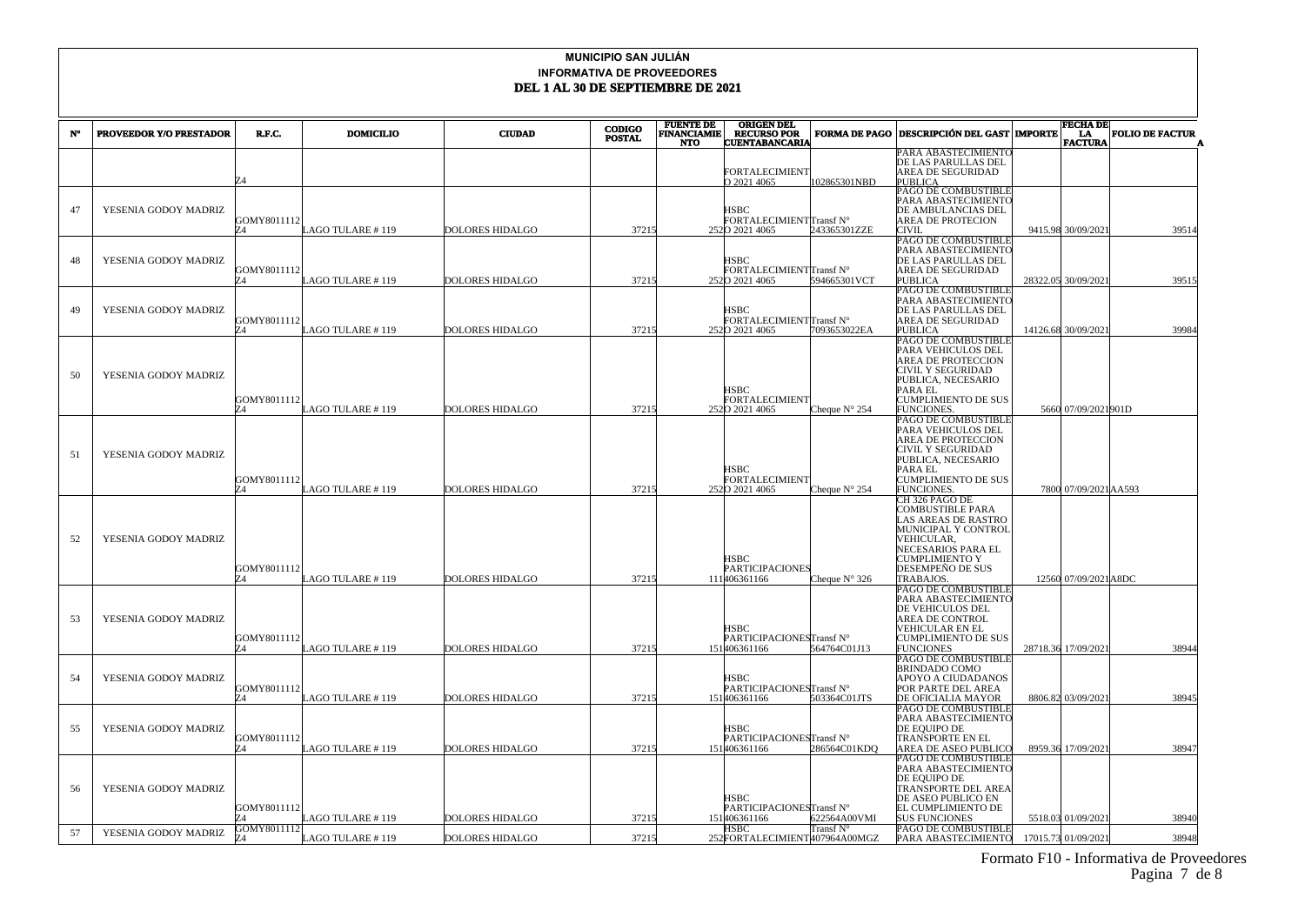|    |                                |                   |                                     |                                                  | <b>CODIGO</b>  | <b>FUENTE DE<br/>FINANCIAMIE</b> | <b>ORIGEN DEL</b>                                         |                                                  |                                                                                                                                                                                                                   | <b>FECHA DE</b>                               |                        |
|----|--------------------------------|-------------------|-------------------------------------|--------------------------------------------------|----------------|----------------------------------|-----------------------------------------------------------|--------------------------------------------------|-------------------------------------------------------------------------------------------------------------------------------------------------------------------------------------------------------------------|-----------------------------------------------|------------------------|
| N° | <b>PROVEEDOR Y/O PRESTADOR</b> | R.F.C.            | <b>DOMICILIO</b>                    | <b>CIUDAD</b>                                    | <b>POSTAL</b>  | <b>NTO</b>                       | <b>RECURSO POR</b><br><b>CUENTABANCARIA</b>               | <b>FORMA DE PAGO</b>                             | <b>DESCRIPCIÓN DEL GAST   IMPORTE</b>                                                                                                                                                                             | LA<br><b>FACTURA</b>                          | <b>FOLIO DE FACTUR</b> |
|    |                                | 74                |                                     |                                                  |                |                                  | FORTALECIMIENT<br>O 2021 4065                             | 102865301NBD                                     | PARA ABASTECIMIENTO<br>DE LAS PARULLAS DEL<br>AREA DE SEGURIDAD<br><b>PUBLICA</b><br>PAGO DE COMBUSTIBLE                                                                                                          |                                               |                        |
| 47 | YESENIA GODOY MADRIZ           | GOMY8011112<br>74 | AGO TULARE #119                     | <b>DOLORES HIDALGO</b>                           | 37215          |                                  | HSBC<br>FORTALECIMIENTTransf N°<br>2520 2021 4065         | 243365301ZZE                                     | PARA ABASTECIMIENTO<br>DE AMBULANCIAS DEL<br><b>AREA DE PROTECION</b><br><b>CIVIL</b>                                                                                                                             | 9415.98 30/09/2021                            | 39514                  |
| 48 | YESENIA GODOY MADRIZ           | GOMY8011112<br>74 | AGO TULARE #119                     | <b>DOLORES HIDALGO</b>                           | 37215          |                                  | HSBC<br>FORTALECIMIENTTransf N°<br>2520 2021 4065         | 594665301VCT                                     | PAGO DE COMBUSTIBLE<br>PARA ABASTECIMIENTO<br>DE LAS PARULLAS DEL<br>AREA DE SEGURIDAD<br><b>PUBLICA</b>                                                                                                          | 28322.05 30/09/2021                           | 39515                  |
| 49 | YESENIA GODOY MADRIZ           | GOMY8011112       | AGO TULARE #119                     | <b>DOLORES HIDALGO</b>                           | 37215          |                                  | HSBC<br>FORTALECIMIENTTransf N°<br>2520 2021 4065         | 7093653022EA                                     | PAGO DE COMBUSTIBLE<br>PARA ABASTECIMIENTO<br>DE LAS PARULLAS DEL<br>AREA DE SEGURIDAD<br><b>PUBLICA</b>                                                                                                          | 14126.68 30/09/2021                           | 39984                  |
| 50 | YESENIA GODOY MADRIZ           | GOMY8011112<br>74 | AGO TULARE #119                     | <b>DOLORES HIDALGO</b>                           | 37215          |                                  | ISBC<br>FORTALECIMIENT<br>2520 2021 4065                  | Cheque $N^{\circ}$ 254                           | PAGO DE COMBUSTIBLE<br>PARA VEHICULOS DEL<br>AREA DE PROTECCION<br>CIVIL Y SEGURIDAD<br>PUBLICA, NECESARIO<br>PARA EL<br>CUMPLIMIENTO DE SUS<br>FUNCIONES.                                                        | 5660 07/09/2021901D                           |                        |
| 51 | YESENIA GODOY MADRIZ           | GOMY8011112       |                                     |                                                  |                |                                  | HSBC<br>FORTALECIMIENT                                    |                                                  | PAGO DE COMBUSTIBLE<br>PARA VEHICULOS DEL<br>AREA DE PROTECCION<br>CIVIL Y SEGURIDAD<br>PUBLICA, NECESARIO<br>PARA EL<br>CUMPLIMIENTO DE SUS                                                                      |                                               |                        |
| 52 | YESENIA GODOY MADRIZ           | 74<br>GOMY8011112 | LAGO TULARE #119<br>AGO TULARE #119 | <b>DOLORES HIDALGO</b><br><b>DOLORES HIDALGO</b> | 37215<br>37215 |                                  | 2520 2021 4065<br>HSBC<br>PARTICIPACIONES<br>111406361166 | Cheque $N^{\circ}$ 254<br>Cheque $N^{\circ}$ 326 | <b>FUNCIONES.</b><br>CH 326 PAGO DE<br><b>COMBUSTIBLE PARA</b><br>LAS AREAS DE RASTRO<br>MUNICIPAL Y CONTROI<br>VEHICULAR,<br>NECESARIOS PARA EL<br>CUMPLIMIENTO Y<br><b>DESEMPENO DE SUS</b><br><b>TRABAJOS.</b> | 7800 07/09/2021 A593<br>12560 07/09/2021 A8DC |                        |
| 53 | YESENIA GODOY MADRIZ           | GOMY8011112<br>74 | AGO TULARE #119                     | <b>DOLORES HIDALGO</b>                           | 37215          |                                  | HSBC<br>PARTICIPACIONESTransf N°<br>151406361166          | 564764C01J13                                     | PAGO DE COMBUSTIBLE<br>PARA ABASTECIMIENTC<br>DE VEHICULOS DEL<br>AREA DE CONTROL<br>VEHICULAR EN EL<br>CUMPLIMIENTO DE SUS<br>FUNCIONES                                                                          | 28718.36 17/09/2021                           | 38944                  |
| 54 | YESENIA GODOY MADRIZ           | GOMY8011112       | AGO TULARE # 119.                   | <b>DOLORES HIDALGO</b>                           | 37215          |                                  | HSBC<br>PARTICIPACIONESTransf N°<br>151406361166          | 503364C01JTS                                     | PAGO DE COMBUSTIBLE<br><b>BRINDADO COMO</b><br>APOYO A CIUDADANOS<br>POR PARTE DEL AREA<br>DE OFICIALIA MAYOR                                                                                                     | 8806.82 03/09/2021                            | 38945                  |
| 55 | YESENIA GODOY MADRIZ           | GOMY8011112<br>74 | AGO TULARE #119                     | <b>DOLORES HIDALGO</b>                           | 37215          |                                  | <b>HSBC</b><br>PARTICIPACIONESTransf N°<br>151406361166   | 286564C01KDQ                                     | PAGO DE COMBUSTIBLE<br>PARA ABASTECIMIENTC<br>DE EQUIPO DE<br><b>TRANSPORTE EN EL</b><br>AREA DE ASEO PUBLICO                                                                                                     | 8959.36 17/09/2021                            | 38947                  |
| 56 | YESENIA GODOY MADRIZ           | GOMY8011112       | AGO TULARE # 119                    | DOLORES HIDALGO                                  | 37215          |                                  | HSBC<br>PARTICIPACIONESTransf N°<br>151406361166          | 622564A00VMI                                     | PAGO DE COMBUSTIBLE<br>PARA ABASTECIMIENTO<br>DE EQUIPO DE<br>ITRANSPORTE DEL AREA<br>DE ASEO PUBLICO EN<br>EL CUMPLIMIENTO DE<br><b>SUS FUNCIONES</b>                                                            | 5518.03 01/09/2021                            | 38940                  |
| 57 | YESENIA GODOY MADRIZ           | GOMY8011112       | LAGO TULARE # 119                   | <b>DOLORES HIDALGO</b>                           | 37215          |                                  | HSBC<br>252FORTALECIMIENT407964A00MGZ                     | Transf $N^c$                                     | PAGO DE COMBUSTIBLE<br>PARA ABASTECIMIENTO                                                                                                                                                                        | 17015.73 01/09/2021                           | 38948                  |
|    |                                |                   |                                     |                                                  |                |                                  |                                                           |                                                  |                                                                                                                                                                                                                   |                                               |                        |